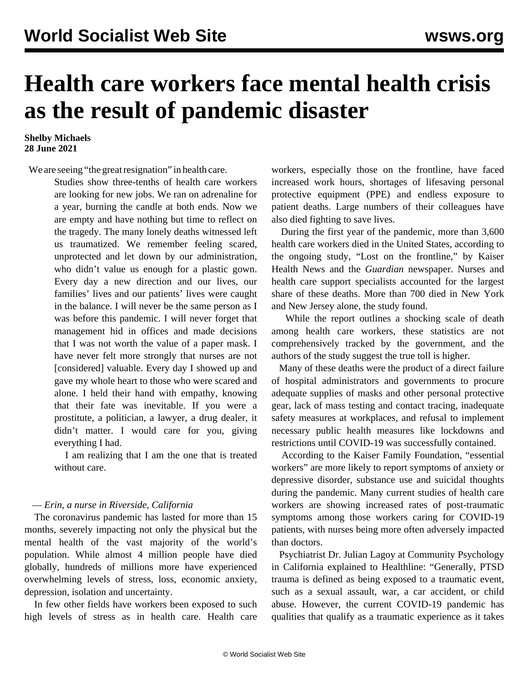## **Health care workers face mental health crisis as the result of pandemic disaster**

## **Shelby Michaels 28 June 2021**

We are seeing "the great resignation" in health care.

Studies show three-tenths of health care workers are looking for new jobs. We ran on adrenaline for a year, burning the candle at both ends. Now we are empty and have nothing but time to reflect on the tragedy. The many lonely deaths witnessed left us traumatized. We remember feeling scared, unprotected and let down by our administration, who didn't value us enough for a plastic gown. Every day a new direction and our lives, our families' lives and our patients' lives were caught in the balance. I will never be the same person as I was before this pandemic. I will never forget that management hid in offices and made decisions that I was not worth the value of a paper mask. I have never felt more strongly that nurses are not [considered] valuable. Every day I showed up and gave my whole heart to those who were scared and alone. I held their hand with empathy, knowing that their fate was inevitable. If you were a prostitute, a politician, a lawyer, a drug dealer, it didn't matter. I would care for you, giving everything I had.

 I am realizing that I am the one that is treated without care.

## — *Erin, a nurse in Riverside, California*

 The coronavirus pandemic has lasted for more than 15 months, severely impacting not only the physical but the mental health of the vast majority of the world's population. While almost 4 million people have died globally, hundreds of millions more have experienced overwhelming levels of stress, loss, economic anxiety, depression, isolation and uncertainty.

 In few other fields have workers been exposed to such high levels of stress as in health care. Health care workers, especially those on the frontline, have faced increased work hours, shortages of lifesaving personal protective equipment (PPE) and endless exposure to patient deaths. Large numbers of their colleagues have also died fighting to save lives.

 During the first year of the pandemic, more than 3,600 health care workers died in the United States, according to the ongoing study, "Lost on the frontline," by Kaiser Health News and the *Guardian* newspaper. Nurses and health care support specialists accounted for the largest share of these deaths. More than 700 died in New York and New Jersey alone, the study found.

 While the report outlines a shocking scale of death among health care workers, these statistics are not comprehensively tracked by the government, and the authors of the study suggest the true toll is higher.

 Many of these deaths were the product of a direct failure of hospital administrators and governments to procure adequate supplies of masks and other personal protective gear, lack of mass testing and contact tracing, inadequate safety measures at workplaces, and refusal to implement necessary public health measures like lockdowns and restrictions until COVID-19 was successfully contained.

 According to the Kaiser Family Foundation, "essential workers" are more likely to report symptoms of anxiety or depressive disorder, substance use and suicidal thoughts during the pandemic. Many current studies of health care workers are showing increased rates of post-traumatic symptoms among those workers caring for COVID-19 patients, with nurses being more often adversely impacted than doctors.

 Psychiatrist Dr. Julian Lagoy at Community Psychology in California explained to Healthline: "Generally, PTSD trauma is defined as being exposed to a traumatic event, such as a sexual assault, war, a car accident, or child abuse. However, the current COVID-19 pandemic has qualities that qualify as a traumatic experience as it takes